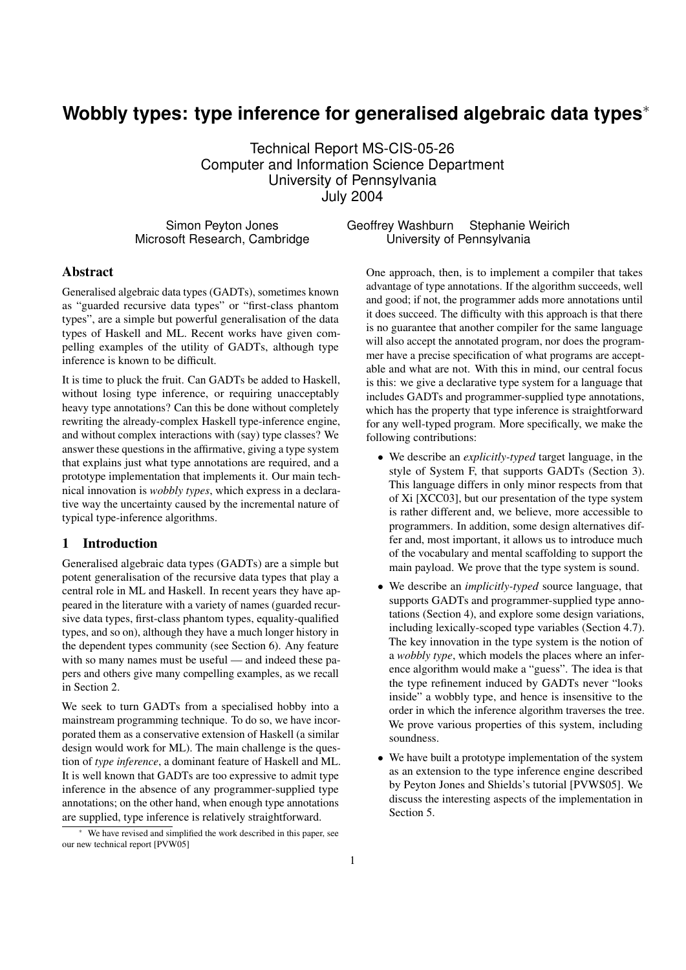# **Wobbly types: type inference for generalised algebraic data types**<sup>∗</sup>

Technical Report MS-CIS-05-26 Computer and Information Science Department University of Pennsylvania July 2004

Simon Peyton Jones Microsoft Research, Cambridge

# Geoffrey Washburn Stephanie Weirich University of Pennsylvania

# Abstract

Generalised algebraic data types (GADTs), sometimes known as "guarded recursive data types" or "first-class phantom types", are a simple but powerful generalisation of the data types of Haskell and ML. Recent works have given compelling examples of the utility of GADTs, although type inference is known to be difficult.

It is time to pluck the fruit. Can GADTs be added to Haskell, without losing type inference, or requiring unacceptably heavy type annotations? Can this be done without completely rewriting the already-complex Haskell type-inference engine, and without complex interactions with (say) type classes? We answer these questions in the affirmative, giving a type system that explains just what type annotations are required, and a prototype implementation that implements it. Our main technical innovation is *wobbly types*, which express in a declarative way the uncertainty caused by the incremental nature of typical type-inference algorithms.

# 1 Introduction

Generalised algebraic data types (GADTs) are a simple but potent generalisation of the recursive data types that play a central role in ML and Haskell. In recent years they have appeared in the literature with a variety of names (guarded recursive data types, first-class phantom types, equality-qualified types, and so on), although they have a much longer history in the dependent types community (see Section 6). Any feature with so many names must be useful — and indeed these papers and others give many compelling examples, as we recall in Section 2.

We seek to turn GADTs from a specialised hobby into a mainstream programming technique. To do so, we have incorporated them as a conservative extension of Haskell (a similar design would work for ML). The main challenge is the question of *type inference*, a dominant feature of Haskell and ML. It is well known that GADTs are too expressive to admit type inference in the absence of any programmer-supplied type annotations; on the other hand, when enough type annotations are supplied, type inference is relatively straightforward.

One approach, then, is to implement a compiler that takes advantage of type annotations. If the algorithm succeeds, well and good; if not, the programmer adds more annotations until it does succeed. The difficulty with this approach is that there is no guarantee that another compiler for the same language will also accept the annotated program, nor does the programmer have a precise specification of what programs are acceptable and what are not. With this in mind, our central focus is this: we give a declarative type system for a language that includes GADTs and programmer-supplied type annotations, which has the property that type inference is straightforward for any well-typed program. More specifically, we make the following contributions:

- We describe an *explicitly-typed* target language, in the style of System F, that supports GADTs (Section 3). This language differs in only minor respects from that of Xi [XCC03], but our presentation of the type system is rather different and, we believe, more accessible to programmers. In addition, some design alternatives differ and, most important, it allows us to introduce much of the vocabulary and mental scaffolding to support the main payload. We prove that the type system is sound.
- We describe an *implicitly-typed* source language, that supports GADTs and programmer-supplied type annotations (Section 4), and explore some design variations, including lexically-scoped type variables (Section 4.7). The key innovation in the type system is the notion of a *wobbly type*, which models the places where an inference algorithm would make a "guess". The idea is that the type refinement induced by GADTs never "looks inside" a wobbly type, and hence is insensitive to the order in which the inference algorithm traverses the tree. We prove various properties of this system, including soundness.
- We have built a prototype implementation of the system as an extension to the type inference engine described by Peyton Jones and Shields's tutorial [PVWS05]. We discuss the interesting aspects of the implementation in Section 5.

We have revised and simplified the work described in this paper, see our new technical report [PVW05]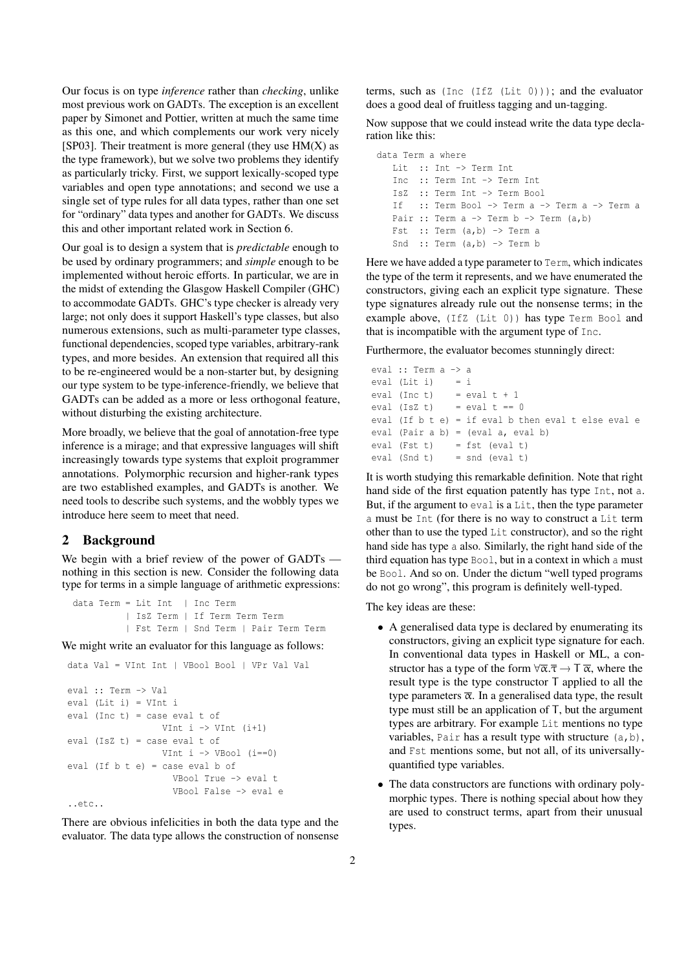Our focus is on type *inference* rather than *checking*, unlike most previous work on GADTs. The exception is an excellent paper by Simonet and Pottier, written at much the same time as this one, and which complements our work very nicely [SP03]. Their treatment is more general (they use  $HM(X)$  as the type framework), but we solve two problems they identify as particularly tricky. First, we support lexically-scoped type variables and open type annotations; and second we use a single set of type rules for all data types, rather than one set for "ordinary" data types and another for GADTs. We discuss this and other important related work in Section 6.

Our goal is to design a system that is *predictable* enough to be used by ordinary programmers; and *simple* enough to be implemented without heroic efforts. In particular, we are in the midst of extending the Glasgow Haskell Compiler (GHC) to accommodate GADTs. GHC's type checker is already very large; not only does it support Haskell's type classes, but also numerous extensions, such as multi-parameter type classes, functional dependencies, scoped type variables, arbitrary-rank types, and more besides. An extension that required all this to be re-engineered would be a non-starter but, by designing our type system to be type-inference-friendly, we believe that GADTs can be added as a more or less orthogonal feature, without disturbing the existing architecture.

More broadly, we believe that the goal of annotation-free type inference is a mirage; and that expressive languages will shift increasingly towards type systems that exploit programmer annotations. Polymorphic recursion and higher-rank types are two established examples, and GADTs is another. We need tools to describe such systems, and the wobbly types we introduce here seem to meet that need.

#### 2 Background

We begin with a brief review of the power of GADTs nothing in this section is new. Consider the following data type for terms in a simple language of arithmetic expressions:

data Term = Lit Int | Inc Term | IsZ Term | If Term Term Term | Fst Term | Snd Term | Pair Term Term

We might write an evaluator for this language as follows:

```
data Val = VInt Int | VBool Bool | VPr Val Val
eval :: Term -> Val
eval (Lit i) = VInt i
eval (Inc t) = case eval t of
                   VInt i \rightarrow VInt (i+1)eval (IsZ t) = case eval t of
                  VInt i \rightarrow VBool (i == 0)
eval (If b t e) = case eval b of
                     VBool True -> eval t
                     VBool False -> eval e
..etc..
```
There are obvious infelicities in both the data type and the evaluator. The data type allows the construction of nonsense

terms, such as (Inc (IfZ (Lit 0))); and the evaluator does a good deal of fruitless tagging and un-tagging.

Now suppose that we could instead write the data type declaration like this:

```
data Term a where
  Lit :: Int -> Term Int
  Inc :: Term Int -> Term Int
  IsZ :: Term Int -> Term Bool
  If :: Term Bool -> Term a -> Term a -> Term a
  Pair :: Term a \rightarrow Term b \rightarrow Term (a, b)Fst :: Term (a, b) -> Term a
  Snd :: Term (a, b) -> Term b
```
Here we have added a type parameter to Term, which indicates the type of the term it represents, and we have enumerated the constructors, giving each an explicit type signature. These type signatures already rule out the nonsense terms; in the example above, (IfZ (Lit 0)) has type Term Bool and that is incompatible with the argument type of Inc.

Furthermore, the evaluator becomes stunningly direct:

```
eval :: Term a -> a
eval (Lit i) = i
eval (Inc t) = eval t + 1eval (IsZ t) = eval t == 0eval (If b t e) = if eval b then eval t else eval e
eval (Pair a b) = (eval a, eval b)
eval (Fst t) = fst (eval t)
eval (Snd t) = snd (eval t)
```
It is worth studying this remarkable definition. Note that right hand side of the first equation patently has type Int, not a. But, if the argument to eval is a Lit, then the type parameter a must be Int (for there is no way to construct a Lit term other than to use the typed Lit constructor), and so the right hand side has type a also. Similarly, the right hand side of the third equation has type Bool, but in a context in which a must be Bool. And so on. Under the dictum "well typed programs do not go wrong", this program is definitely well-typed.

The key ideas are these:

- A generalised data type is declared by enumerating its constructors, giving an explicit type signature for each. In conventional data types in Haskell or ML, a constructor has a type of the form  $\forall \overline{\alpha}.\overline{\tau} \to \overline{\tau} \overline{\alpha}$ , where the result type is the type constructor T applied to all the type parameters  $\bar{\alpha}$ . In a generalised data type, the result type must still be an application of T, but the argument types are arbitrary. For example Lit mentions no type variables, Pair has a result type with structure  $(a, b)$ , and Fst mentions some, but not all, of its universallyquantified type variables.
- The data constructors are functions with ordinary polymorphic types. There is nothing special about how they are used to construct terms, apart from their unusual types.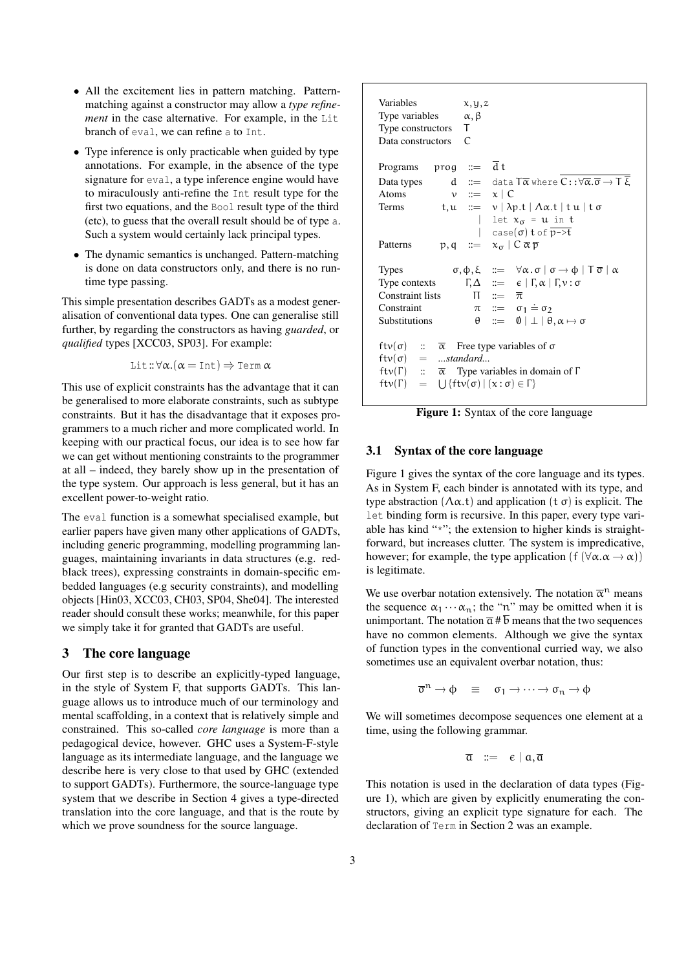- All the excitement lies in pattern matching. Patternmatching against a constructor may allow a *type refinement* in the case alternative. For example, in the Lit branch of eval, we can refine a to Int.
- Type inference is only practicable when guided by type annotations. For example, in the absence of the type signature for eval, a type inference engine would have to miraculously anti-refine the Int result type for the first two equations, and the Bool result type of the third (etc), to guess that the overall result should be of type a. Such a system would certainly lack principal types.
- The dynamic semantics is unchanged. Pattern-matching is done on data constructors only, and there is no runtime type passing.

This simple presentation describes GADTs as a modest generalisation of conventional data types. One can generalise still further, by regarding the constructors as having *guarded*, or *qualified* types [XCC03, SP03]. For example:

Lit: $\forall \alpha.(\alpha = \text{Int}) \Rightarrow \text{Term } \alpha$ 

This use of explicit constraints has the advantage that it can be generalised to more elaborate constraints, such as subtype constraints. But it has the disadvantage that it exposes programmers to a much richer and more complicated world. In keeping with our practical focus, our idea is to see how far we can get without mentioning constraints to the programmer at all – indeed, they barely show up in the presentation of the type system. Our approach is less general, but it has an excellent power-to-weight ratio.

The eval function is a somewhat specialised example, but earlier papers have given many other applications of GADTs, including generic programming, modelling programming languages, maintaining invariants in data structures (e.g. redblack trees), expressing constraints in domain-specific embedded languages (e.g security constraints), and modelling objects [Hin03, XCC03, CH03, SP04, She04]. The interested reader should consult these works; meanwhile, for this paper we simply take it for granted that GADTs are useful.

## 3 The core language

Our first step is to describe an explicitly-typed language, in the style of System F, that supports GADTs. This language allows us to introduce much of our terminology and mental scaffolding, in a context that is relatively simple and constrained. This so-called *core language* is more than a pedagogical device, however. GHC uses a System-F-style language as its intermediate language, and the language we describe here is very close to that used by GHC (extended to support GADTs). Furthermore, the source-language type system that we describe in Section 4 gives a type-directed translation into the core language, and that is the route by which we prove soundness for the source language.

| Variables<br>Type variables<br>Type constructors<br>Data constructors | x, y, z<br>$\alpha, \beta$<br>T<br>$\mathcal{C}$                                                                          |
|-----------------------------------------------------------------------|---------------------------------------------------------------------------------------------------------------------------|
| Programs                                                              | prog $\coloneqq$ $\overline{d}$ t                                                                                         |
| Data types                                                            | $d$ := data $T\overline{\alpha}$ where $C::\forall\overline{\alpha}.\overline{\sigma}\to T\ \overline{\xi}$               |
| Atoms                                                                 | $v ::= x \mid C$                                                                                                          |
| Terms                                                                 | t, $u ::= v   \lambda p.t   \Lambda \alpha.t   tu   t \sigma$                                                             |
|                                                                       | let $x_{\sigma} = u$ in t                                                                                                 |
|                                                                       | $\int$ case( $\sigma$ ) t of $\overline{p\rightarrow t}$                                                                  |
| Patterns                                                              | $p, q \ ::= \ x_{\sigma} \mid C \overline{\alpha} \overline{p}$                                                           |
|                                                                       |                                                                                                                           |
| <b>Types</b>                                                          | $\sigma, \varphi, \xi$ ::= $\forall \alpha . \sigma \mid \sigma \rightarrow \varphi \mid T \overline{\sigma} \mid \alpha$ |
|                                                                       | Type contexts $\Gamma, \Delta \ ::= \epsilon   \Gamma, \alpha   \Gamma, \nu : \sigma$                                     |
| Constraint lists                                                      | $\Pi$ ::= $\overline{\pi}$                                                                                                |
| Constraint                                                            | $\pi$ ::= $\sigma_1 \doteq \sigma_2$                                                                                      |
| Substitutions                                                         | $\theta$ ::= $\theta \perp \theta, \alpha \mapsto \sigma$                                                                 |
|                                                                       |                                                                                                                           |
| $ftv(\sigma)$ :: $\overline{\alpha}$                                  | Free type variables of $\sigma$                                                                                           |
| $ftv(\sigma) = \dots$ standard                                        |                                                                                                                           |
|                                                                       | ftv $(\Gamma)$ :: $\overline{\alpha}$ Type variables in domain of $\Gamma$                                                |
| $ftv(\Gamma) = \bigcup \{ftv(\sigma)   (x : \sigma) \in \Gamma \}$    |                                                                                                                           |
|                                                                       |                                                                                                                           |

Figure 1: Syntax of the core language

### 3.1 Syntax of the core language

Figure 1 gives the syntax of the core language and its types. As in System F, each binder is annotated with its type, and type abstraction  $(\Lambda \alpha, t)$  and application  $(t \sigma)$  is explicit. The let binding form is recursive. In this paper, every type variable has kind "\*"; the extension to higher kinds is straightforward, but increases clutter. The system is impredicative, however; for example, the type application (f ( $\forall \alpha . \alpha \rightarrow \alpha$ )) is legitimate.

We use overbar notation extensively. The notation  $\bar{\alpha}^n$  means the sequence  $\alpha_1 \cdots \alpha_n$ ; the "n" may be omitted when it is unimportant. The notation  $\overline{\alpha}$  #  $\overline{b}$  means that the two sequences have no common elements. Although we give the syntax of function types in the conventional curried way, we also sometimes use an equivalent overbar notation, thus:

$$
\overline{\sigma}^n \rightarrow \varphi \quad \equiv \quad \sigma_1 \rightarrow \cdots \rightarrow \sigma_n \rightarrow \varphi
$$

We will sometimes decompose sequences one element at a time, using the following grammar.

$$
\overline{\mathfrak{a}} \ := \ \varepsilon \mid \mathfrak{a}, \overline{\mathfrak{a}}
$$

This notation is used in the declaration of data types (Figure 1), which are given by explicitly enumerating the constructors, giving an explicit type signature for each. The declaration of Term in Section 2 was an example.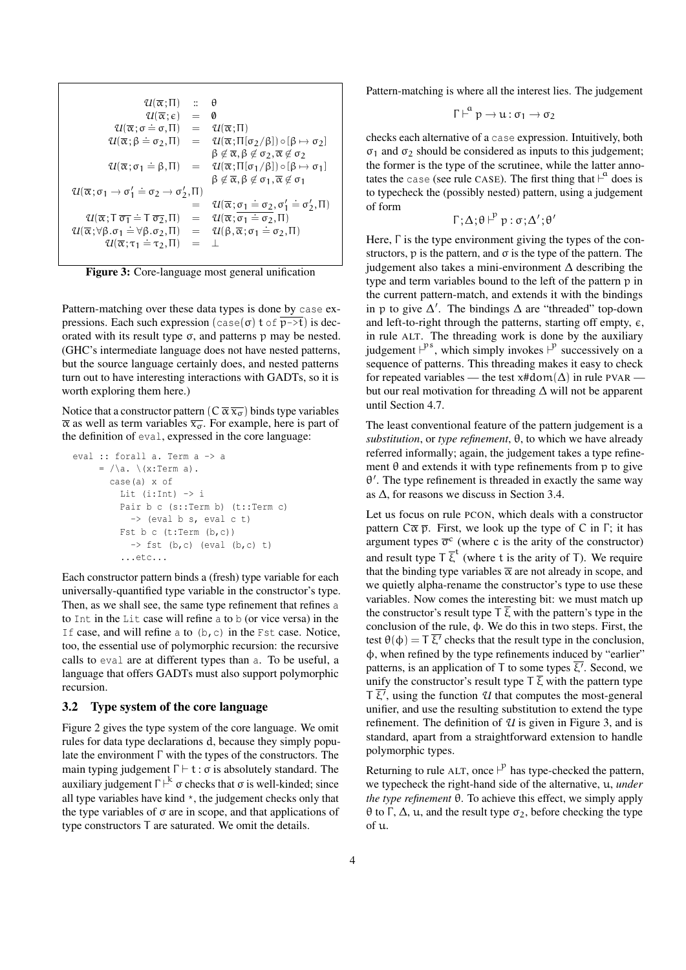$$
u(\overline{\alpha};\Pi) \quad \vdots \quad \theta
$$
\n
$$
u(\overline{\alpha};\epsilon) = 0
$$
\n
$$
u(\overline{\alpha};\sigma \doteq \sigma,\Pi) = u(\overline{\alpha};\Pi)
$$
\n
$$
u(\overline{\alpha};\beta \doteq \sigma_2,\Pi) = u(\overline{\alpha};\Pi[\sigma_2/\beta]) \circ [\beta \mapsto \sigma_2]
$$
\n
$$
\beta \notin \overline{\alpha}, \beta \notin \sigma_2, \overline{\alpha} \notin \sigma_2
$$
\n
$$
u(\overline{\alpha};\sigma_1 \doteq \beta,\Pi) = u(\overline{\alpha};\Pi[\sigma_1/\beta]) \circ [\beta \mapsto \sigma_1]
$$
\n
$$
\beta \notin \overline{\alpha}, \beta \notin \sigma_1, \overline{\alpha} \notin \sigma_1
$$
\n
$$
u(\overline{\alpha};\sigma_1 \to \sigma_1' \doteq \sigma_2 \to \sigma_2',\Pi) = u(\overline{\alpha};\sigma_1 \doteq \sigma_2,\sigma_1' \doteq \sigma_2',\Pi)
$$
\n
$$
u(\overline{\alpha};\tau_1 \doteq \tau_2,\Pi) = u(\overline{\alpha};\sigma_1 \doteq \sigma_2,\Pi)
$$
\n
$$
u(\overline{\alpha};\sigma_1 \doteq \forall \beta.\sigma_2,\Pi) = u(\beta, \overline{\alpha};\sigma_1 \doteq \sigma_2,\Pi)
$$
\n
$$
u(\overline{\alpha};\tau_1 \doteq \tau_2,\Pi) = L
$$

Figure 3: Core-language most general unification

Pattern-matching over these data types is done by case expressions. Each such expression (case( $\sigma$ ) t of  $\overline{p\rightarrow t}$ ) is decorated with its result type σ, and patterns p may be nested. (GHC's intermediate language does not have nested patterns, but the source language certainly does, and nested patterns turn out to have interesting interactions with GADTs, so it is worth exploring them here.)

Notice that a constructor pattern  $(C \overline{\alpha} \overline{x_{\alpha}})$  binds type variables  $\bar{\alpha}$  as well as term variables  $\bar{x}_{\sigma}$ . For example, here is part of the definition of eval, expressed in the core language:

```
eval :: forall a. Term a -> a
      = /\a. \ \ (x:Term\ a).
       case(a) x of
          Lit (i:Int) \rightarrow iPair b c (s::Term b) (t::Term c)
            \rightarrow (eval b s, eval c t)
          Fst b c (t:Term (b, c))
            \Rightarrow fst (b,c) (eval (b,c) t)
          ...etc...
```
Each constructor pattern binds a (fresh) type variable for each universally-quantified type variable in the constructor's type. Then, as we shall see, the same type refinement that refines a to Int in the Lit case will refine a to b (or vice versa) in the If case, and will refine a to  $(b, c)$  in the Fst case. Notice, too, the essential use of polymorphic recursion: the recursive calls to eval are at different types than a. To be useful, a language that offers GADTs must also support polymorphic recursion.

#### 3.2 Type system of the core language

Figure 2 gives the type system of the core language. We omit rules for data type declarations d, because they simply populate the environment Γ with the types of the constructors. The main typing judgement  $\Gamma \vdash t : \sigma$  is absolutely standard. The auxiliary judgement  $\Gamma \vdash^k \sigma$  checks that  $\sigma$  is well-kinded; since all type variables have kind \*, the judgement checks only that the type variables of  $\sigma$  are in scope, and that applications of type constructors T are saturated. We omit the details.

Pattern-matching is where all the interest lies. The judgement

$$
\Gamma \vdash^{\alpha} p \to u : \sigma_1 \to \sigma_2
$$

checks each alternative of a case expression. Intuitively, both σ<sub>1</sub> and σ<sub>2</sub> should be considered as inputs to this judgement; the former is the type of the scrutinee, while the latter annotates the case (see rule CASE). The first thing that  $\vdash^a$  does is to typecheck the (possibly nested) pattern, using a judgement of form

$$
\Gamma; \Delta; \theta \vdash^p p : \sigma; \Delta'; \theta'
$$

Here, Γ is the type environment giving the types of the constructors, p is the pattern, and  $\sigma$  is the type of the pattern. The judgement also takes a mini-environment  $\Delta$  describing the type and term variables bound to the left of the pattern p in the current pattern-match, and extends it with the bindings in p to give  $\Delta'$ . The bindings  $\Delta$  are "threaded" top-down and left-to-right through the patterns, starting off empty,  $\epsilon$ , in rule ALT. The threading work is done by the auxiliary judgement  $\vdash^{ps}$ , which simply invokes  $\vdash^{p}$  successively on a sequence of patterns. This threading makes it easy to check for repeated variables — the test  $x\# dom(\Delta)$  in rule PVAR but our real motivation for threading ∆ will not be apparent until Section 4.7.

The least conventional feature of the pattern judgement is a *substitution*, or *type refinement*, θ, to which we have already referred informally; again, the judgement takes a type refinement  $\theta$  and extends it with type refinements from p to give θ 0 . The type refinement is threaded in exactly the same way as ∆, for reasons we discuss in Section 3.4.

Let us focus on rule PCON, which deals with a constructor pattern  $C\overline{\alpha} \overline{p}$ . First, we look up the type of C in Γ; it has argument types  $\overline{\sigma}^c$  (where c is the arity of the constructor) and result type  $T \overline{\xi}^t$  (where t is the arity of T). We require that the binding type variables  $\bar{\alpha}$  are not already in scope, and we quietly alpha-rename the constructor's type to use these variables. Now comes the interesting bit: we must match up the constructor's result type  $\overline{C}$  with the pattern's type in the conclusion of the rule, φ. We do this in two steps. First, the test  $\theta(\phi) = T \overline{\xi'}$  checks that the result type in the conclusion, φ, when refined by the type refinements induced by "earlier" patterns, is an application of T to some types  $\overline{\xi}$ . Second, we unify the constructor's result type  $\overline{f}$   $\overline{\xi}$  with the pattern type  $\overline{C}$ , using the function *U* that computes the most-general unifier, and use the resulting substitution to extend the type refinement. The definition of *U* is given in Figure 3, and is standard, apart from a straightforward extension to handle polymorphic types.

Returning to rule ALT, once  $\vdash^p$  has type-checked the pattern, we typecheck the right-hand side of the alternative, u, *under the type refinement* θ. To achieve this effect, we simply apply θ to Γ, Δ, u, and the result type  $\sigma_2$ , before checking the type of u.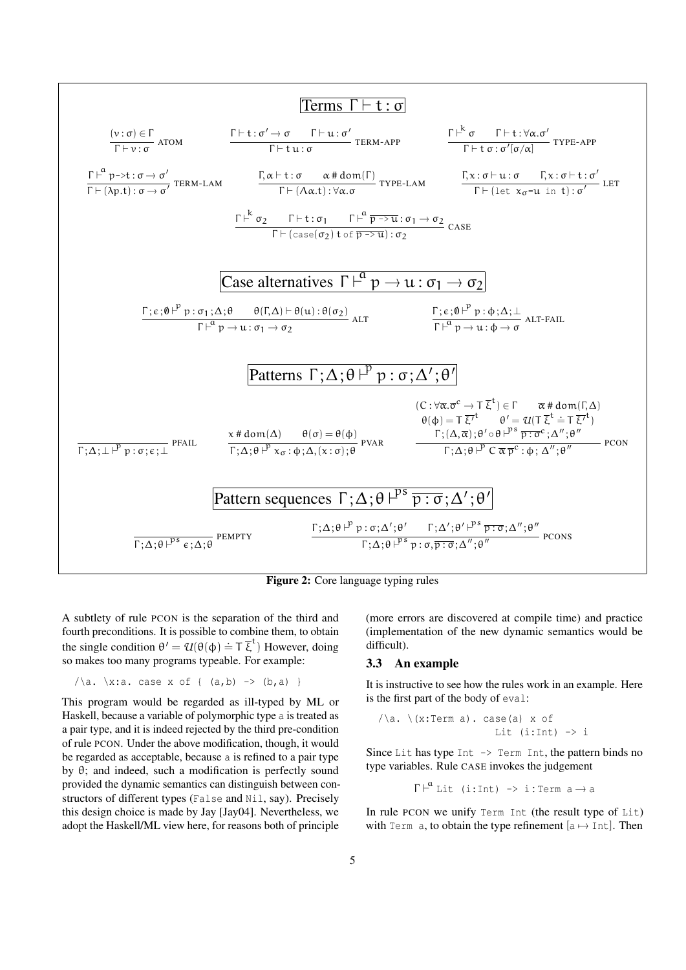

Figure 2: Core language typing rules

A subtlety of rule PCON is the separation of the third and fourth preconditions. It is possible to combine them, to obtain the single condition  $\theta' = \mathcal{U}(\theta(\phi) \doteq \top \overline{\xi}^t)$  However, doing so makes too many programs typeable. For example:

$$
/\a. \ x: a. case x of { (a,b) -> (b,a) }
$$

This program would be regarded as ill-typed by ML or Haskell, because a variable of polymorphic type a is treated as a pair type, and it is indeed rejected by the third pre-condition of rule PCON. Under the above modification, though, it would be regarded as acceptable, because a is refined to a pair type by θ; and indeed, such a modification is perfectly sound provided the dynamic semantics can distinguish between constructors of different types (False and Nil, say). Precisely this design choice is made by Jay [Jay04]. Nevertheless, we adopt the Haskell/ML view here, for reasons both of principle

(more errors are discovered at compile time) and practice (implementation of the new dynamic semantics would be difficult).

#### 3.3 An example

It is instructive to see how the rules work in an example. Here is the first part of the body of eval:

$$
\sqrt{a}.\ \ (x:Term\ a).\ case(a)\ x\ of\n \quad \text{Lit}\ (i:Int)\ \rightarrow i
$$

Since Lit has type Int  $\rightarrow$  Term Int, the pattern binds no type variables. Rule CASE invokes the judgement

 $\Gamma \vdash^a$  Lit (i:Int) -> i:Term a  $\rightarrow$  a

In rule PCON we unify Term Int (the result type of Lit) with Term a, to obtain the type refinement  $[a \mapsto Int]$ . Then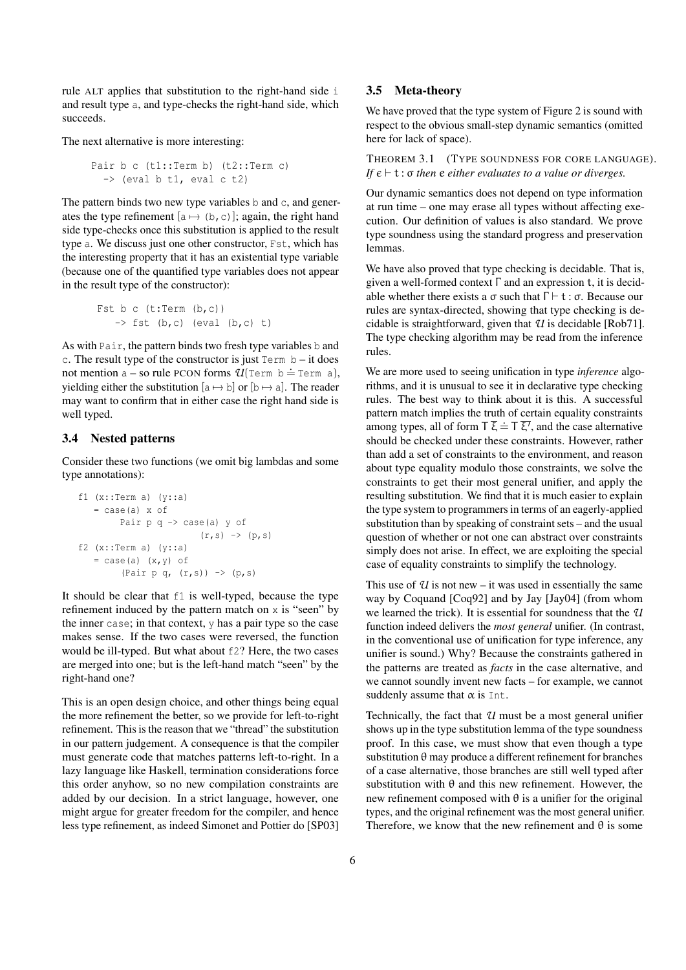rule ALT applies that substitution to the right-hand side i and result type a, and type-checks the right-hand side, which succeeds.

The next alternative is more interesting:

```
Pair b c (t1::Term b) (t2::Term c)
  \rightarrow (eval b t1, eval c t2)
```
The pattern binds two new type variables b and c, and generates the type refinement  $[a \mapsto (b, c)]$ ; again, the right hand side type-checks once this substitution is applied to the result type a. We discuss just one other constructor, Fst, which has the interesting property that it has an existential type variable (because one of the quantified type variables does not appear in the result type of the constructor):

$$
\begin{array}{rcl}\n\texttt{Fst b c (t:Term (b,c))} \\
\quad & \rightarrow \texttt{fst (b,c) (eval (b,c) t)}\n\end{array}
$$

As with Pair, the pattern binds two fresh type variables b and c. The result type of the constructor is just  $Term b - it$  does not mention  $a - so$  rule PCON forms  $U(\text{Term } b = \text{Term } a)$ , yielding either the substitution  $[a \mapsto b]$  or  $[b \mapsto a]$ . The reader may want to confirm that in either case the right hand side is well typed.

#### 3.4 Nested patterns

Consider these two functions (we omit big lambdas and some type annotations):

```
f1 (x::Term a) (y::a)= case(a) x ofPair p q \rightarrow case(a) y of
                            (r, s) \rightarrow (p, s)f2 (x::Term a) (y::a)
   = \case(a) (x, y) of
          (Pair p q, (r, s)) \rightarrow (p, s)
```
It should be clear that f1 is well-typed, because the type refinement induced by the pattern match on  $x$  is "seen" by the inner case; in that context, y has a pair type so the case makes sense. If the two cases were reversed, the function would be ill-typed. But what about f2? Here, the two cases are merged into one; but is the left-hand match "seen" by the right-hand one?

This is an open design choice, and other things being equal the more refinement the better, so we provide for left-to-right refinement. This is the reason that we "thread" the substitution in our pattern judgement. A consequence is that the compiler must generate code that matches patterns left-to-right. In a lazy language like Haskell, termination considerations force this order anyhow, so no new compilation constraints are added by our decision. In a strict language, however, one might argue for greater freedom for the compiler, and hence less type refinement, as indeed Simonet and Pottier do [SP03]

#### 3.5 Meta-theory

We have proved that the type system of Figure 2 is sound with respect to the obvious small-step dynamic semantics (omitted here for lack of space).

THEOREM 3.1 (TYPE SOUNDNESS FOR CORE LANGUAGE). *If*  $\epsilon \vdash t$  :  $\sigma$  *then*  $e$  *either evaluates to a value or diverges.* 

Our dynamic semantics does not depend on type information at run time – one may erase all types without affecting execution. Our definition of values is also standard. We prove type soundness using the standard progress and preservation lemmas.

We have also proved that type checking is decidable. That is, given a well-formed context Γ and an expression t, it is decidable whether there exists a  $\sigma$  such that  $\Gamma \vdash t : \sigma$ . Because our rules are syntax-directed, showing that type checking is decidable is straightforward, given that *U* is decidable [Rob71]. The type checking algorithm may be read from the inference rules.

We are more used to seeing unification in type *inference* algorithms, and it is unusual to see it in declarative type checking rules. The best way to think about it is this. A successful pattern match implies the truth of certain equality constraints among types, all of form  $\overline{\tau} \bar{\xi} \doteq \overline{\tau} \bar{\xi'}$ , and the case alternative should be checked under these constraints. However, rather than add a set of constraints to the environment, and reason about type equality modulo those constraints, we solve the constraints to get their most general unifier, and apply the resulting substitution. We find that it is much easier to explain the type system to programmers in terms of an eagerly-applied substitution than by speaking of constraint sets – and the usual question of whether or not one can abstract over constraints simply does not arise. In effect, we are exploiting the special case of equality constraints to simplify the technology.

This use of  $U$  is not new – it was used in essentially the same way by Coquand [Coq92] and by Jay [Jay04] (from whom we learned the trick). It is essential for soundness that the *U* function indeed delivers the *most general* unifier. (In contrast, in the conventional use of unification for type inference, any unifier is sound.) Why? Because the constraints gathered in the patterns are treated as *facts* in the case alternative, and we cannot soundly invent new facts – for example, we cannot suddenly assume that  $\alpha$  is Int.

Technically, the fact that *U* must be a most general unifier shows up in the type substitution lemma of the type soundness proof. In this case, we must show that even though a type substitution  $\theta$  may produce a different refinement for branches of a case alternative, those branches are still well typed after substitution with  $\theta$  and this new refinement. However, the new refinement composed with θ is a unifier for the original types, and the original refinement was the most general unifier. Therefore, we know that the new refinement and  $\theta$  is some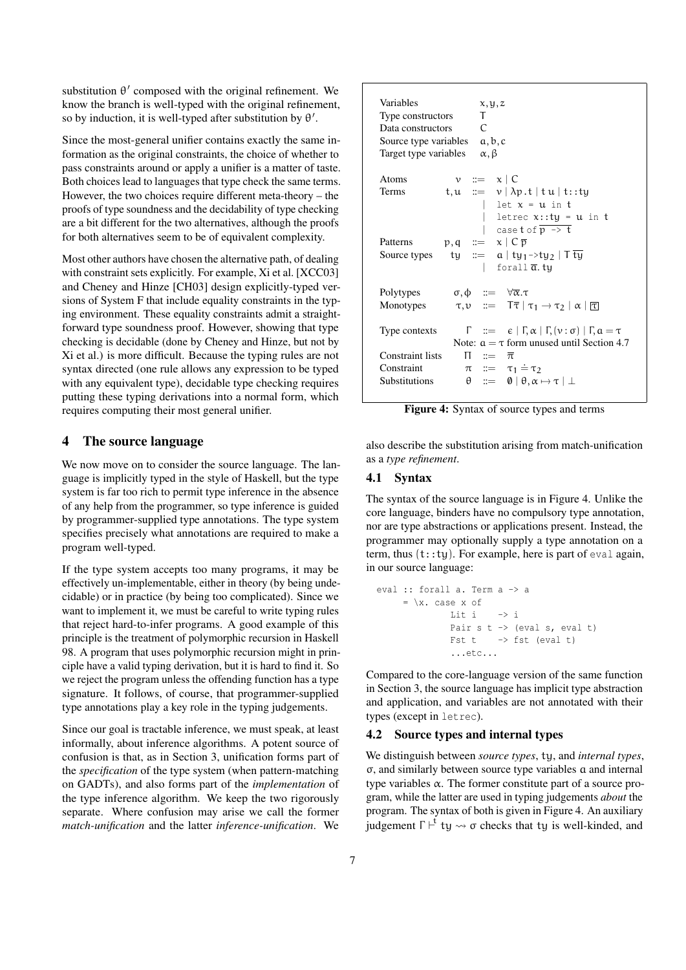substitution  $\theta'$  composed with the original refinement. We know the branch is well-typed with the original refinement, so by induction, it is well-typed after substitution by  $\theta'$ .

Since the most-general unifier contains exactly the same information as the original constraints, the choice of whether to pass constraints around or apply a unifier is a matter of taste. Both choices lead to languages that type check the same terms. However, the two choices require different meta-theory – the proofs of type soundness and the decidability of type checking are a bit different for the two alternatives, although the proofs for both alternatives seem to be of equivalent complexity.

Most other authors have chosen the alternative path, of dealing with constraint sets explicitly. For example, Xi et al. [XCC03] and Cheney and Hinze [CH03] design explicitly-typed versions of System F that include equality constraints in the typing environment. These equality constraints admit a straightforward type soundness proof. However, showing that type checking is decidable (done by Cheney and Hinze, but not by Xi et al.) is more difficult. Because the typing rules are not syntax directed (one rule allows any expression to be typed with any equivalent type), decidable type checking requires putting these typing derivations into a normal form, which requires computing their most general unifier.

## 4 The source language

We now move on to consider the source language. The language is implicitly typed in the style of Haskell, but the type system is far too rich to permit type inference in the absence of any help from the programmer, so type inference is guided by programmer-supplied type annotations. The type system specifies precisely what annotations are required to make a program well-typed.

If the type system accepts too many programs, it may be effectively un-implementable, either in theory (by being undecidable) or in practice (by being too complicated). Since we want to implement it, we must be careful to write typing rules that reject hard-to-infer programs. A good example of this principle is the treatment of polymorphic recursion in Haskell 98. A program that uses polymorphic recursion might in principle have a valid typing derivation, but it is hard to find it. So we reject the program unless the offending function has a type signature. It follows, of course, that programmer-supplied type annotations play a key role in the typing judgements.

Since our goal is tractable inference, we must speak, at least informally, about inference algorithms. A potent source of confusion is that, as in Section 3, unification forms part of the *specification* of the type system (when pattern-matching on GADTs), and also forms part of the *implementation* of the type inference algorithm. We keep the two rigorously separate. Where confusion may arise we call the former *match-unification* and the latter *inference-unification*. We

| Variables<br>Type constructors<br>Data constructors<br>Source type variables $a, b, c$<br>Target type variables | x, y, z<br>T.<br>$\subset$<br>$\alpha, \beta$                                                                            |
|-----------------------------------------------------------------------------------------------------------------|--------------------------------------------------------------------------------------------------------------------------|
| Atoms                                                                                                           | $v ::= x \mid C$                                                                                                         |
| Terms                                                                                                           | $t, u ::= v   \lambda p. t   t u   t:ty$                                                                                 |
|                                                                                                                 | let $x = u$ in t                                                                                                         |
|                                                                                                                 | letrec $x:ty = u$ in t                                                                                                   |
| Patterns                                                                                                        | case t of $\overline{p} \rightarrow t$<br>$p, q \equiv x \mid C \overline{p}$                                            |
| Source types                                                                                                    | ty ::= $a   ty_1 \rightarrow ty_2   Tty$                                                                                 |
|                                                                                                                 | forall $\overline{a}$ .ty                                                                                                |
|                                                                                                                 |                                                                                                                          |
| Polytypes                                                                                                       | $\sigma, \phi$ := $\forall \overline{\alpha} . \tau$                                                                     |
| Monotypes                                                                                                       | $\tau, \nu \quad ::= \quad \overline{T} \overline{\tau} \mid \tau_1 \rightarrow \tau_2 \mid \alpha \mid \overline{\tau}$ |
| Type contexts                                                                                                   | $\Gamma$ ::= $\epsilon   \Gamma, \alpha   \Gamma, (\nu : \sigma)   \Gamma, \alpha = \tau$                                |
|                                                                                                                 | Note: $a = \tau$ form unused until Section 4.7                                                                           |
| Constraint lists                                                                                                | $\Pi$ ::= $\bar{\pi}$                                                                                                    |
| Constraint                                                                                                      | $\pi$ ::= $\tau_1 \doteq \tau_2$                                                                                         |
|                                                                                                                 | $\theta$ ::= $\theta$   $\theta$ , $\alpha \mapsto \tau$   $\bot$                                                        |

Figure 4: Syntax of source types and terms

also describe the substitution arising from match-unification as a *type refinement*.

#### 4.1 Syntax

The syntax of the source language is in Figure 4. Unlike the core language, binders have no compulsory type annotation, nor are type abstractions or applications present. Instead, the programmer may optionally supply a type annotation on a term, thus  $(t:ty)$ . For example, here is part of eval again, in our source language:

```
eval :: forall a. Term a -> a
      = \{x. \text{case } x \text{ of } x\}Lit i -> i
                 Pair s t \rightarrow (eval s, eval t)
                 Fst t \rightarrow fst (eval t)
                  ...etc...
```
Compared to the core-language version of the same function in Section 3, the source language has implicit type abstraction and application, and variables are not annotated with their types (except in letrec).

## 4.2 Source types and internal types

We distinguish between *source types*, ty, and *internal types*, σ, and similarly between source type variables a and internal type variables α. The former constitute part of a source program, while the latter are used in typing judgements *about* the program. The syntax of both is given in Figure 4. An auxiliary judgement  $\Gamma \vdash^{\mathfrak{t}}$  ty  $\leadsto \sigma$  checks that ty is well-kinded, and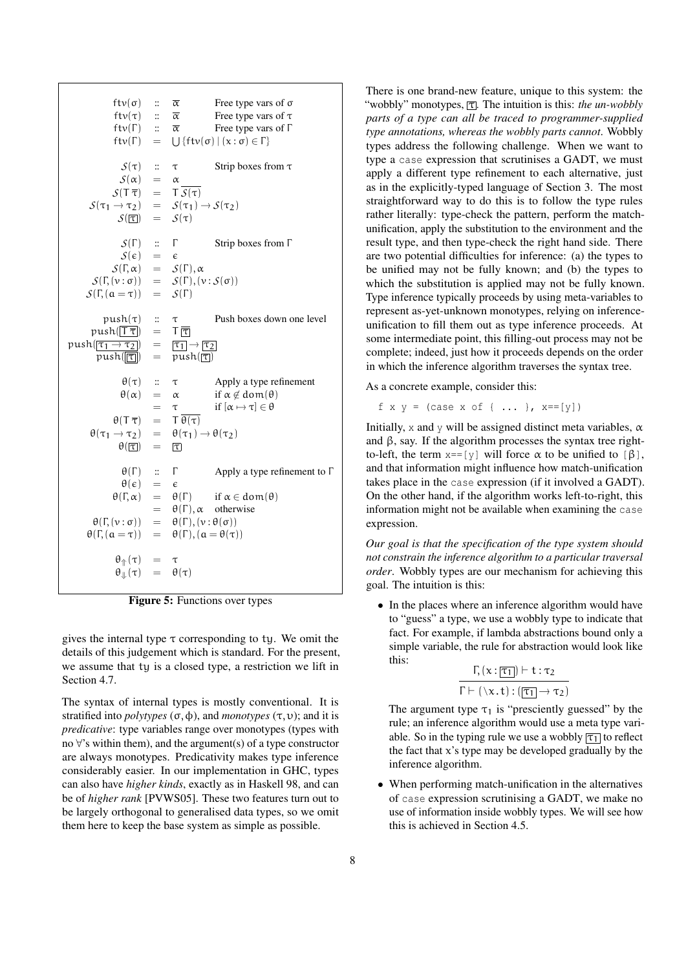ftv( $\sigma$ ) ::  $\overline{\alpha}$  Free type vars of  $\sigma$ ftv(τ) ::  $\overline{\alpha}$  Free type vars of  $\tau$ ftv(Γ) ::  $\overline{\alpha}$  Free type vars of Γ  $ftv(\Gamma) =$  $\bigcup \{ ftv(\sigma) \mid (x : \sigma) \in \Gamma \}$  $S(\tau)$  ::  $\tau$  Strip boxes from  $\tau$  $S(\alpha) = \alpha$  $S(T \overline{\tau}) = T S(\tau)$ <br> $S(\tau_1 \rightarrow \tau_2) = S(\tau_1)$  $=$   $S(\tau_1) \rightarrow S(\tau_2)$ <br> $=$   $S(\tau)$  $S(\mathcal{T})$  $S(\Gamma)$  :: Γ Strip boxes from Γ  $S(\epsilon) = \epsilon$  $S(\Gamma,\alpha) = S(\Gamma),\alpha$  $S(\Gamma, (\nu : \sigma)) = S(\Gamma), (\nu : S(\sigma))$  $S(\Gamma, (\alpha = \tau)) = S(\Gamma)$ push(τ) ::  $\tau$  Push boxes down one level  $push(\boxed{T\overline{\tau}}) = \overline{T}$  $\begin{array}{rcl} \text{push}(\boxed{\tau_1 \to \tau_2}) & = & \boxed{\tau_1} \to \boxed{\tau_2} \\ \text{push}(\boxed{\boxed{\tau}}) & = & \text{push}(\boxed{\top}) \end{array}$  $push(\boxed{\mathbb{t}})$ θ(τ) :: τ Apply a type refinement  $\theta(\alpha) = \alpha$  if  $\alpha \notin \text{dom}(\theta)$ =  $\tau$  if  $[\alpha \mapsto \tau] \in \theta$ <br>=  $T \overline{\theta(\tau)}$  $\theta(T \overline{\tau}) = T \overline{\theta(\tau)}$  $\theta(\tau_1 \to \tau_2) = \theta(\tau_1) \to \theta(\tau_2)$ <br> $\theta(\overline{\tau}) = \overline{\tau}$  $\theta(\mathcal{T})$  $θ(Γ)$  :: Γ Apply a type refinement to Γ  $\theta(\epsilon) = \epsilon$  $\theta(\Gamma,\alpha) = \theta(\Gamma)$  if  $\alpha \in \text{dom}(\theta)$  $= \theta(\Gamma), \alpha$  otherwise  $\theta(\Gamma, (\nu : \sigma)) = \theta(\Gamma), (\nu : \theta(\sigma))$  $\theta(\Gamma, (\alpha = \tau)) = \theta(\Gamma), (\alpha = \theta(\tau))$  $\theta_{\Uparrow}(\tau) = \tau$  $\theta_{\parallel}(\tau) = \theta(\tau)$ 

Figure 5: Functions over types

gives the internal type  $\tau$  corresponding to ty. We omit the details of this judgement which is standard. For the present, we assume that ty is a closed type, a restriction we lift in Section 4.7.

The syntax of internal types is mostly conventional. It is stratified into *polytypes*  $(\sigma, \phi)$ , and *monotypes*  $(\tau, \nu)$ ; and it is *predicative*: type variables range over monotypes (types with no ∀'s within them), and the argument(s) of a type constructor are always monotypes. Predicativity makes type inference considerably easier. In our implementation in GHC, types can also have *higher kinds*, exactly as in Haskell 98, and can be of *higher rank* [PVWS05]. These two features turn out to be largely orthogonal to generalised data types, so we omit them here to keep the base system as simple as possible.

There is one brand-new feature, unique to this system: the "wobbly" monotypes,  $\boxed{\tau}$ . The intuition is this: *the un-wobbly parts of a type can all be traced to programmer-supplied type annotations, whereas the wobbly parts cannot*. Wobbly types address the following challenge. When we want to type a case expression that scrutinises a GADT, we must apply a different type refinement to each alternative, just as in the explicitly-typed language of Section 3. The most straightforward way to do this is to follow the type rules rather literally: type-check the pattern, perform the matchunification, apply the substitution to the environment and the result type, and then type-check the right hand side. There are two potential difficulties for inference: (a) the types to be unified may not be fully known; and (b) the types to which the substitution is applied may not be fully known. Type inference typically proceeds by using meta-variables to represent as-yet-unknown monotypes, relying on inferenceunification to fill them out as type inference proceeds. At some intermediate point, this filling-out process may not be complete; indeed, just how it proceeds depends on the order in which the inference algorithm traverses the syntax tree.

As a concrete example, consider this:

```
f x y = (case \times of \{ ... \}, x == [y])
```
Initially, x and y will be assigned distinct meta variables,  $\alpha$ and  $\beta$ , say. If the algorithm processes the syntax tree rightto-left, the term  $x = [y]$  will force  $\alpha$  to be unified to  $[\beta]$ , and that information might influence how match-unification takes place in the case expression (if it involved a GADT). On the other hand, if the algorithm works left-to-right, this information might not be available when examining the case expression.

*Our goal is that the specification of the type system should not constrain the inference algorithm to a particular traversal order*. Wobbly types are our mechanism for achieving this goal. The intuition is this:

• In the places where an inference algorithm would have to "guess" a type, we use a wobbly type to indicate that fact. For example, if lambda abstractions bound only a simple variable, the rule for abstraction would look like this:

$$
\frac{\Gamma_{1}(x:\boxed{\tau_{1}}) \vdash t:\tau_{2}}{\Gamma \vdash (\forall x.t): (\boxed{\tau_{1}} \rightarrow \tau_{2})}
$$

The argument type  $\tau_1$  is "presciently guessed" by the rule; an inference algorithm would use a meta type variable. So in the typing rule we use a wobbly  $\boxed{\tau_1}$  to reflect the fact that  $x$ 's type may be developed gradually by the inference algorithm.

• When performing match-unification in the alternatives of case expression scrutinising a GADT, we make no use of information inside wobbly types. We will see how this is achieved in Section 4.5.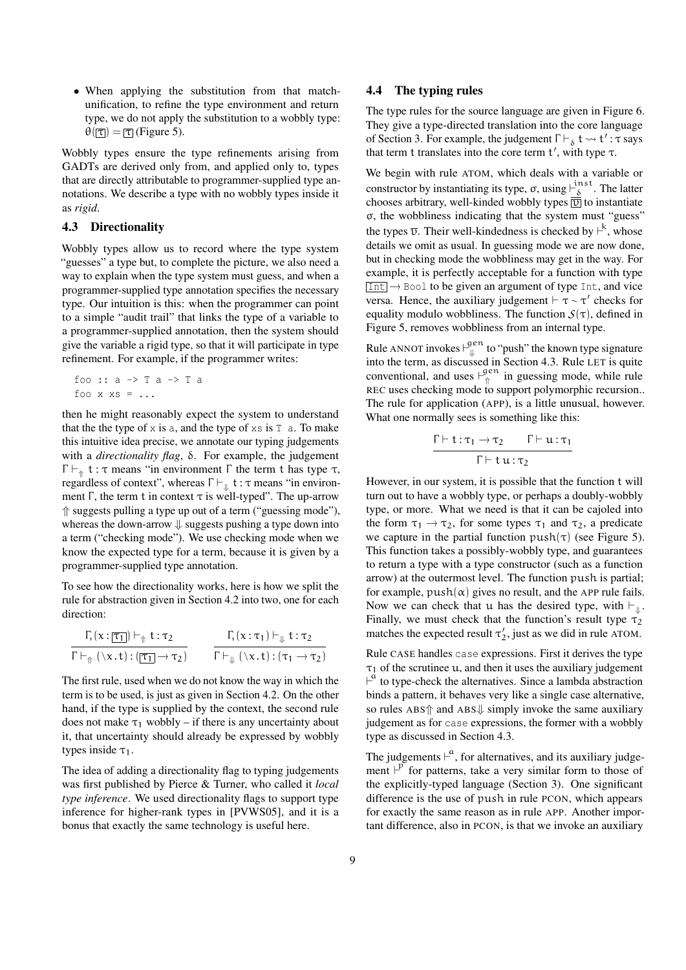• When applying the substitution from that matchunification, to refine the type environment and return type, we do not apply the substitution to a wobbly type:  $\theta(\mathcal{T}) = \mathcal{T}(\mathcal{T})$  (Figure 5).

Wobbly types ensure the type refinements arising from GADTs are derived only from, and applied only to, types that are directly attributable to programmer-supplied type annotations. We describe a type with no wobbly types inside it as *rigid*.

## 4.3 Directionality

Wobbly types allow us to record where the type system "guesses" a type but, to complete the picture, we also need a way to explain when the type system must guess, and when a programmer-supplied type annotation specifies the necessary type. Our intuition is this: when the programmer can point to a simple "audit trail" that links the type of a variable to a programmer-supplied annotation, then the system should give the variable a rigid type, so that it will participate in type refinement. For example, if the programmer writes:

foo :: a -> T a -> T a foo x  $xs = ...$ 

then he might reasonably expect the system to understand that the the type of  $x$  is a, and the type of  $xs$  is  $T$  a. To make this intuitive idea precise, we annotate our typing judgements with a *directionality flag*, δ. For example, the judgement  $\Gamma \vdash_{\uparrow} t : \tau$  means "in environment  $\Gamma$  the term t has type  $\tau$ , regardless of context", whereas  $\Gamma \vdash_{\psi} \mathbf{t} : \tau$  means "in environ-<br>meat  $\Gamma$  the term t in equator  $\tau$  is well tuned". The up expect ment  $\Gamma$ , the term t in context  $\tau$  is well-typed". The up-arrow ⇑ suggests pulling a type up out of a term ("guessing mode"), whereas the down-arrow  $\downarrow$  suggests pushing a type down into a term ("checking mode"). We use checking mode when we know the expected type for a term, because it is given by a programmer-supplied type annotation.

To see how the directionality works, here is how we split the rule for abstraction given in Section 4.2 into two, one for each direction:

$$
\frac{\Gamma_{1}(x:\overline{[\tau_{1}]}) \vdash_{\Uparrow} t:\tau_{2}}{\Gamma \vdash_{\Uparrow} (\setminus x.t): (\overline{[\tau_{1}]} \rightarrow \tau_{2})} \qquad \frac{\Gamma_{1}(x:\tau_{1}) \vdash_{\Downarrow} t:\tau_{2}}{\Gamma \vdash_{\Downarrow} (\setminus x.t): (\tau_{1} \rightarrow \tau_{2})}
$$

The first rule, used when we do not know the way in which the term is to be used, is just as given in Section 4.2. On the other hand, if the type is supplied by the context, the second rule does not make  $\tau_1$  wobbly – if there is any uncertainty about it, that uncertainty should already be expressed by wobbly types inside  $\tau_1$ .

The idea of adding a directionality flag to typing judgements was first published by Pierce & Turner, who called it *local type inference*. We used directionality flags to support type inference for higher-rank types in [PVWS05], and it is a bonus that exactly the same technology is useful here.

#### 4.4 The typing rules

The type rules for the source language are given in Figure 6. They give a type-directed translation into the core language of Section 3. For example, the judgement  $\Gamma \vdash_{\delta} t \leadsto t' : \tau$  says that term t translates into the core term  $t'$ , with type  $\tau$ .

We begin with rule ATOM, which deals with a variable or constructor by instantiating its type,  $\sigma$ , using  $\vdash_{\delta}^{\text{inst}}$  $\frac{1}{\delta}$ . The latter chooses arbitrary, well-kinded wobbly types  $\overline{v}$  to instantiate σ, the wobbliness indicating that the system must "guess" the types  $\overline{v}$ . Their well-kindedness is checked by  $\overline{\phantom{a}}^k$ , whose details we omit as usual. In guessing mode we are now done, but in checking mode the wobbliness may get in the way. For example, it is perfectly acceptable for a function with type  $\boxed{\text{Int}}$   $\rightarrow$  Bool to be given an argument of type Int, and vice versa. Hence, the auxiliary judgement  $\vdash \tau \sim \tau'$  checks for equality modulo wobbliness. The function  $S(\tau)$ , defined in Figure 5, removes wobbliness from an internal type.

Rule ANNOT invokes  $\vdash^{\text{gen}}_{\text{L}}$  $\psi$  to "push" the known type signature into the term, as discussed in Section 4.3. Rule LET is quite conventional, and uses  $\vdash_{\hat{\pi}}^{gen}$  $\int_{0}^{\pi}$  in guessing mode, while rule REC uses checking mode to support polymorphic recursion.. The rule for application (APP), is a little unusual, however. What one normally sees is something like this:

$$
\frac{\Gamma \vdash t : \tau_1 \to \tau_2 \qquad \Gamma \vdash u : \tau_1}{\Gamma \vdash t u : \tau_2}
$$

However, in our system, it is possible that the function t will turn out to have a wobbly type, or perhaps a doubly-wobbly type, or more. What we need is that it can be cajoled into the form  $\tau_1 \rightarrow \tau_2$ , for some types  $\tau_1$  and  $\tau_2$ , a predicate we capture in the partial function  $push(\tau)$  (see Figure 5). This function takes a possibly-wobbly type, and guarantees to return a type with a type constructor (such as a function arrow) at the outermost level. The function push is partial; for example,  $push(\alpha)$  gives no result, and the APP rule fails. Now we can check that u has the desired type, with  $\vdash_{\Downarrow}$ .<br>Einelly, we must shock that the function's result type Finally, we must check that the function's result type  $\tau_2$ matches the expected result  $\tau'_2$ , just as we did in rule ATOM.

Rule CASE handles case expressions. First it derives the type  $\tau_1$  of the scrutinee u, and then it uses the auxiliary judgement  $\overline{r}^{\dot{a}}$  to type-check the alternatives. Since a lambda abstraction binds a pattern, it behaves very like a single case alternative, so rules ABS↑ and ABS↓ simply invoke the same auxiliary judgement as for case expressions, the former with a wobbly type as discussed in Section 4.3.

The judgements  $\vdash^{\alpha}$ , for alternatives, and its auxiliary judgement  $\overline{P}$  for patterns, take a very similar form to those of the explicitly-typed language (Section 3). One significant difference is the use of push in rule PCON, which appears for exactly the same reason as in rule APP. Another important difference, also in PCON, is that we invoke an auxiliary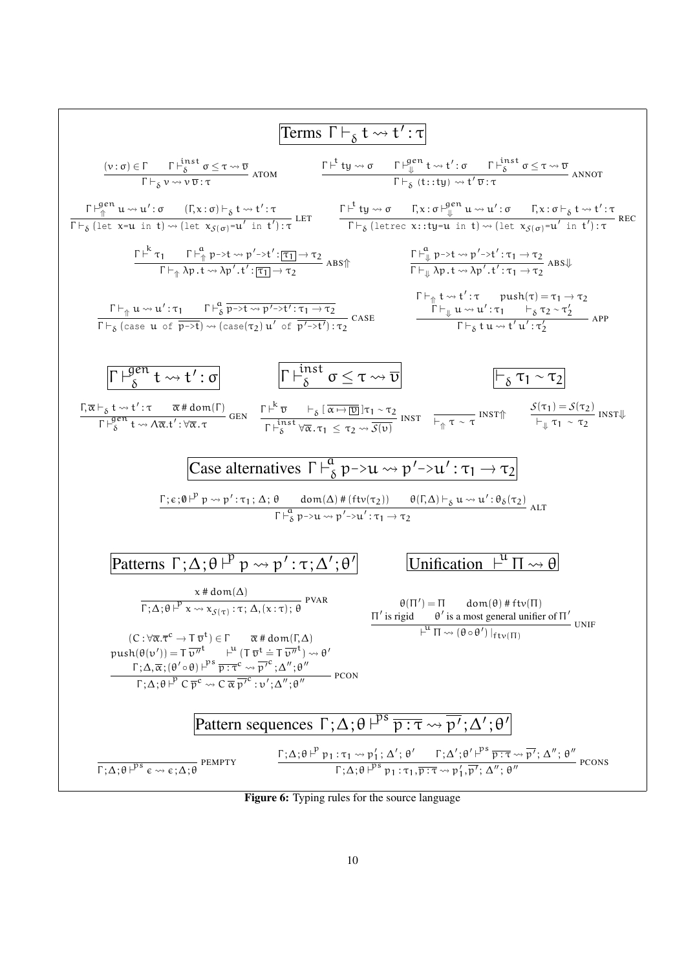

Figure 6: Typing rules for the source language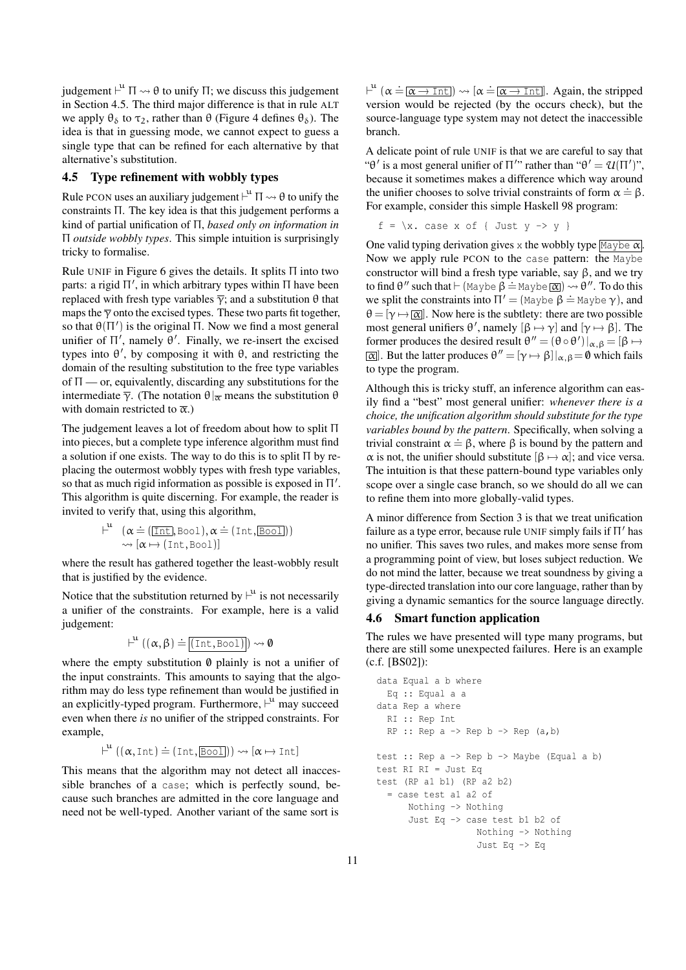judgement  $\vdash^u \Pi \leadsto \theta$  to unify  $\Pi$ ; we discuss this judgement in Section 4.5. The third major difference is that in rule ALT we apply  $\theta_{\delta}$  to  $\tau_2$ , rather than  $\theta$  (Figure 4 defines  $\theta_{\delta}$ ). The idea is that in guessing mode, we cannot expect to guess a single type that can be refined for each alternative by that alternative's substitution.

## 4.5 Type refinement with wobbly types

Rule PCON uses an auxiliary judgement  $\vdash^u \Pi \leadsto \theta$  to unify the constraints Π. The key idea is that this judgement performs a kind of partial unification of Π, *based only on information in* Π *outside wobbly types*. This simple intuition is surprisingly tricky to formalise.

Rule UNIF in Figure 6 gives the details. It splits  $\Pi$  into two parts: a rigid Π', in which arbitrary types within Π have been replaced with fresh type variables  $\overline{\gamma}$ ; and a substitution θ that maps the  $\overline{\gamma}$  onto the excised types. These two parts fit together, so that  $\theta(\Pi')$  is the original  $\Pi$ . Now we find a most general unifier of  $\Pi'$ , namely  $\theta'$ . Finally, we re-insert the excised types into  $\theta'$ , by composing it with  $\theta$ , and restricting the domain of the resulting substitution to the free type variables of  $\Pi$  — or, equivalently, discarding any substitutions for the intermediate  $\overline{\gamma}$ . (The notation  $\theta|_{\overline{\alpha}}$  means the substitution  $\theta$ with domain restricted to  $\bar{\alpha}$ .)

The judgement leaves a lot of freedom about how to split Π into pieces, but a complete type inference algorithm must find a solution if one exists. The way to do this is to split  $\Pi$  by replacing the outermost wobbly types with fresh type variables, so that as much rigid information as possible is exposed in  $\Pi'$ . This algorithm is quite discerning. For example, the reader is invited to verify that, using this algorithm,

$$
\vdash^{\mathfrak{u}} \ (\alpha \doteq ([\overline{\text{Int}}, \text{Bool}), \alpha \doteq (\text{Int}, \overline{\text{Bool}}))
$$
  

$$
\leadsto [\alpha \mapsto (\text{Int}, \text{Bool})]
$$

where the result has gathered together the least-wobbly result that is justified by the evidence.

Notice that the substitution returned by  $\vdash^u$  is not necessarily a unifier of the constraints. For example, here is a valid judgement:

$$
\vdash^u ((\alpha,\beta) \doteq \overline{(\text{Int},\text{Bool})}) \leadsto \textbf{0}
$$

where the empty substitution  $\emptyset$  plainly is not a unifier of the input constraints. This amounts to saying that the algorithm may do less type refinement than would be justified in an explicitly-typed program. Furthermore,  $\vdash^u$  may succeed even when there *is* no unifier of the stripped constraints. For example,

$$
\vdash^{\mathfrak{u}} ((\alpha, \text{Int}) \doteq (\text{Int}, \boxed{\text{Bool}})) \rightsquigarrow [\alpha \mapsto \text{Int}]
$$

This means that the algorithm may not detect all inaccessible branches of a case; which is perfectly sound, because such branches are admitted in the core language and need not be well-typed. Another variant of the same sort is

 $\mu^u$  ( $\alpha \doteq \boxed{\alpha \rightarrow \text{Int}}$ )  $\rightsquigarrow$  [ $\alpha \doteq \boxed{\alpha \rightarrow \text{Int}}$ ]. Again, the stripped version would be rejected (by the occurs check), but the source-language type system may not detect the inaccessible branch.

A delicate point of rule UNIF is that we are careful to say that " $\theta'$  is a most general unifier of  $\Pi''$  rather than " $\theta' = \mathcal{U}(\Pi')$ ", because it sometimes makes a difference which way around the unifier chooses to solve trivial constraints of form  $\alpha = \beta$ . For example, consider this simple Haskell 98 program:

$$
f = \{x. case x of \{ Just y -> y\}
$$

One valid typing derivation gives x the wobbly type  $\boxed{\text{Maybe }\alpha}$ . Now we apply rule PCON to the case pattern: the Maybe constructor will bind a fresh type variable, say  $\beta$ , and we try to find θ'' such that  $\vdash$  (Maybe β = Maybe  $\alpha$ )  $\leadsto$  θ''. To do this we split the constraints into  $\Pi' = ($ Maybe β = Maybe γ), and  $\theta = [\gamma \mapsto |\overline{\alpha}|]$ . Now here is the subtlety: there are two possible most general unifiers θ', namely  $[β \mapsto γ]$  and  $[γ \mapsto β]$ . The former produces the desired result  $\theta'' = (\theta \circ \theta')|_{\alpha, \beta} = [\beta \mapsto$  $\overline{\alpha}$ . But the latter produces  $\theta'' = [\gamma \mapsto \beta]|_{\alpha, \beta} = \emptyset$  which fails to type the program.

Although this is tricky stuff, an inference algorithm can easily find a "best" most general unifier: *whenever there is a choice, the unification algorithm should substitute for the type variables bound by the pattern*. Specifically, when solving a trivial constraint  $\alpha = \beta$ , where  $\beta$  is bound by the pattern and  $\alpha$  is not, the unifier should substitute  $[\beta \mapsto \alpha]$ ; and vice versa. The intuition is that these pattern-bound type variables only scope over a single case branch, so we should do all we can to refine them into more globally-valid types.

A minor difference from Section 3 is that we treat unification failure as a type error, because rule UNIF simply fails if  $\Pi'$  has no unifier. This saves two rules, and makes more sense from a programming point of view, but loses subject reduction. We do not mind the latter, because we treat soundness by giving a type-directed translation into our core language, rather than by giving a dynamic semantics for the source language directly.

#### 4.6 Smart function application

The rules we have presented will type many programs, but there are still some unexpected failures. Here is an example (c.f. [BS02]):

```
data Equal a b where
  Eq :: Equal a a
data Rep a where
  RI :: Rep Int
  RP :: Rep a -> Rep b -> Rep (a, b)test :: Rep a \rightarrow Rep b \rightarrow Map (Equal a b)
test RI RI = Just Eq
test (RP a1 b1) (RP a2 b2)
  = case test a1 a2 of
      Nothing -> Nothing
      Just Eq -> case test b1 b2 of
                    Nothing -> Nothing
                    Just Eq -> Eq
```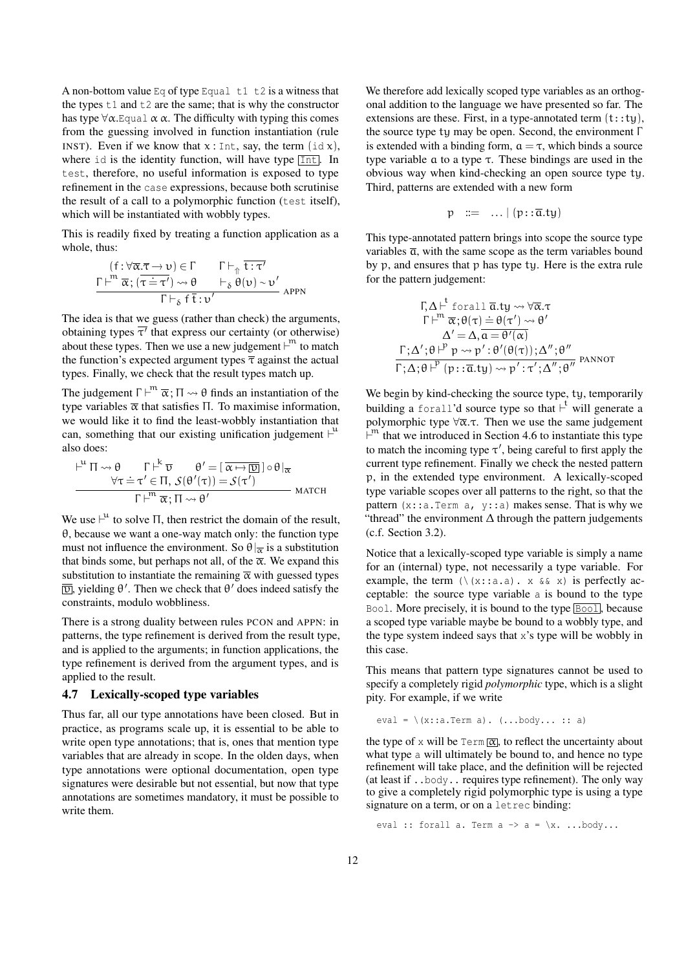A non-bottom value Eq of type Equal  $t1$  t2 is a witness that the types  $t1$  and  $t2$  are the same; that is why the constructor has type  $\forall \alpha$ . Equal  $\alpha \alpha$ . The difficulty with typing this comes from the guessing involved in function instantiation (rule INST). Even if we know that  $x : Int$ , say, the term  $(id x)$ , where id is the identity function, will have type  $[Int]$ . In test, therefore, no useful information is exposed to type refinement in the case expressions, because both scrutinise the result of a call to a polymorphic function (test itself), which will be instantiated with wobbly types.

This is readily fixed by treating a function application as a whole, thus:

$$
\frac{f: \forall \overline{\alpha}.\overline{\tau} \to \upsilon \in \Gamma \qquad \Gamma \vdash_{\Uparrow} \overline{\tau} : \tau'}{\Gamma \vdash^m \overline{\alpha}; (\overline{\tau} = \tau') \leadsto \theta \qquad \vdash_{\delta} \theta(\upsilon) \sim \upsilon' \qquad \qquad \Gamma \vdash_{\delta} \overline{\tau} : \upsilon'}
$$

The idea is that we guess (rather than check) the arguments, obtaining types  $\overline{\tau'}$  that express our certainty (or otherwise) about these types. Then we use a new judgement  $\vdash^m$  to match the function's expected argument types  $\bar{\tau}$  against the actual types. Finally, we check that the result types match up.

The judgement  $\Gamma \vdash^m \overline{\alpha}$ ;  $\Pi \leadsto \theta$  finds an instantiation of the type variables  $\bar{\alpha}$  that satisfies Π. To maximise information, we would like it to find the least-wobbly instantiation that can, something that our existing unification judgement  $\vdash^u$ also does:

$$
\frac{\mu^{\mu} \Pi \rightsquigarrow \theta \qquad \Gamma \stackrel{\mu}{\vdash} \overline{v} \qquad \theta' = [\overline{\alpha \mapsto \overline{\omega}}] \circ \theta|_{\overline{\alpha}}}{\Gamma \stackrel{\mu}{\vdash}^n \overline{\alpha}; \Pi \rightsquigarrow \theta'} \qquad \text{MATCH}
$$

We use  $\vdash^u$  to solve  $\Pi$ , then restrict the domain of the result, θ, because we want a one-way match only: the function type must not influence the environment. So  $\theta|_{\overline{\alpha}}$  is a substitution that binds some, but perhaps not all, of the  $\bar{\alpha}$ . We expand this substitution to instantiate the remaining  $\bar{\alpha}$  with guessed types  $\overline{v}$ , yielding  $\theta'$ . Then we check that  $\theta'$  does indeed satisfy the constraints, modulo wobbliness.

There is a strong duality between rules PCON and APPN: in patterns, the type refinement is derived from the result type, and is applied to the arguments; in function applications, the type refinement is derived from the argument types, and is applied to the result.

#### 4.7 Lexically-scoped type variables

Thus far, all our type annotations have been closed. But in practice, as programs scale up, it is essential to be able to write open type annotations; that is, ones that mention type variables that are already in scope. In the olden days, when type annotations were optional documentation, open type signatures were desirable but not essential, but now that type annotations are sometimes mandatory, it must be possible to write them.

We therefore add lexically scoped type variables as an orthogonal addition to the language we have presented so far. The extensions are these. First, in a type-annotated term  $(t:ty)$ , the source type ty may be open. Second, the environment Γ is extended with a binding form,  $a = \tau$ , which binds a source type variable a to a type τ. These bindings are used in the obvious way when kind-checking an open source type ty. Third, patterns are extended with a new form

$$
p ::= \ldots | (p::\overline{a}.ty)
$$

This type-annotated pattern brings into scope the source type variables  $\overline{a}$ , with the same scope as the term variables bound by p, and ensures that p has type ty. Here is the extra rule for the pattern judgement:

$$
\Gamma, \Delta \vdash^{\mathfrak{t}} \text{ for all } \overline{\mathfrak{a}}. \mathfrak{t} \mathfrak{y} \leadsto \forall \overline{\mathfrak{a}}. \tau
$$
\n
$$
\Gamma \vdash^{\mathfrak{m}} \overline{\alpha}; \theta(\tau) \doteq \theta(\tau') \leadsto \theta'
$$
\n
$$
\Delta' = \Delta, \overline{\mathfrak{a}} = \theta'(\alpha)
$$
\n
$$
\Gamma; \Delta'; \theta \vdash^{\mathfrak{p}} \mathfrak{p} \leadsto \mathfrak{p}': \theta'(\theta(\tau)); \Delta''; \theta''
$$
\n
$$
\Gamma; \Delta; \theta \vdash^{\mathfrak{p}} (\mathfrak{p} : \overline{\mathfrak{a}}. \mathfrak{t} \mathfrak{y}) \leadsto \mathfrak{p}' : \tau'; \Delta'', \theta'''
$$
\n
$$
\text{PANNOT}
$$

We begin by kind-checking the source type, ty, temporarily building a forall'd source type so that  $\vdash^t$  will generate a polymorphic type  $\forall \overline{\alpha}$ .τ. Then we use the same judgement  $\vdash^m$  that we introduced in Section 4.6 to instantiate this type to match the incoming type  $\tau'$ , being careful to first apply the current type refinement. Finally we check the nested pattern p, in the extended type environment. A lexically-scoped type variable scopes over all patterns to the right, so that the pattern  $(x::a.Term a, y::a)$  makes sense. That is why we "thread" the environment  $\Delta$  through the pattern judgements (c.f. Section 3.2).

Notice that a lexically-scoped type variable is simply a name for an (internal) type, not necessarily a type variable. For example, the term  $(\{(x):a.a) \in X \land (x \in X)$  is perfectly acceptable: the source type variable a is bound to the type Bool. More precisely, it is bound to the type **Bool**, because a scoped type variable maybe be bound to a wobbly type, and the type system indeed says that x's type will be wobbly in this case.

This means that pattern type signatures cannot be used to specify a completely rigid *polymorphic* type, which is a slight pity. For example, if we write

```
eval = \setminus(x::a.Term a). (...body... :: a)
```
the type of x will be  $\text{Term}[\overline{\alpha}]$ , to reflect the uncertainty about what type a will ultimately be bound to, and hence no type refinement will take place, and the definition will be rejected (at least if ..body.. requires type refinement). The only way to give a completely rigid polymorphic type is using a type signature on a term, or on a letrec binding:

eval :: forall a. Term  $a \rightarrow a = \{x, \ldots, b \text{ody...}\}$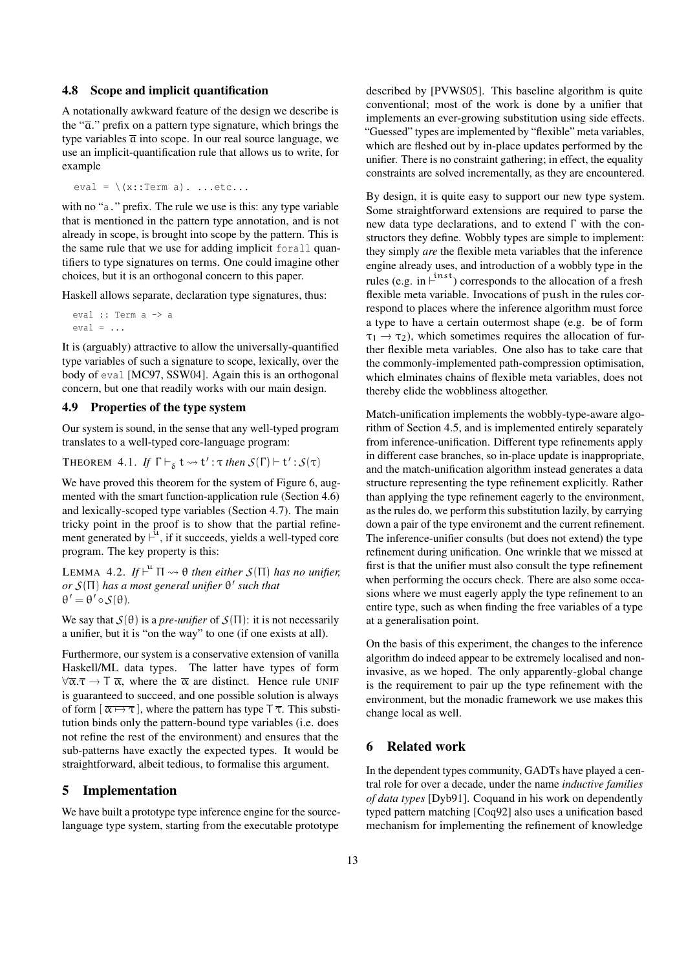#### 4.8 Scope and implicit quantification

A notationally awkward feature of the design we describe is the " $\bar{a}$ ." prefix on a pattern type signature, which brings the type variables  $\bar{a}$  into scope. In our real source language, we use an implicit-quantification rule that allows us to write, for example

eval =  $\langle x : \text{Term a}), \dots \text{etc.} \rangle$ 

with no "a." prefix. The rule we use is this: any type variable that is mentioned in the pattern type annotation, and is not already in scope, is brought into scope by the pattern. This is the same rule that we use for adding implicit forall quantifiers to type signatures on terms. One could imagine other choices, but it is an orthogonal concern to this paper.

Haskell allows separate, declaration type signatures, thus:

eval :: Term a -> a  $eval = ...$ 

It is (arguably) attractive to allow the universally-quantified type variables of such a signature to scope, lexically, over the body of eval [MC97, SSW04]. Again this is an orthogonal concern, but one that readily works with our main design.

#### 4.9 Properties of the type system

Our system is sound, in the sense that any well-typed program translates to a well-typed core-language program:

THEOREM 4.1. If 
$$
\Gamma \vdash_{\delta} t \leadsto t' : \tau
$$
 then  $S(\Gamma) \vdash t' : S(\tau)$ 

We have proved this theorem for the system of Figure 6, augmented with the smart function-application rule (Section 4.6) and lexically-scoped type variables (Section 4.7). The main tricky point in the proof is to show that the partial refinement generated by  $\vdash^{\mathbf{\hat{u}}}$ , if it succeeds, yields a well-typed core program. The key property is this:

LEMMA 4.2.  $If \vdash^u \Pi \leadsto \theta$  then either  $S(\Pi)$  has no unifier, *or S*(Π) *has a most general unifier* θ 0 *such that*  $\theta' = \theta' \circ \mathcal{S}(\theta)$ .

We say that  $S(\theta)$  is a *pre-unifier* of  $S(\Pi)$ : it is not necessarily a unifier, but it is "on the way" to one (if one exists at all).

Furthermore, our system is a conservative extension of vanilla Haskell/ML data types. The latter have types of form  $\forall \overline{\alpha}.\overline{\tau} \to \overline{\tau} \overline{\alpha}$ , where the  $\overline{\alpha}$  are distinct. Hence rule UNIF is guaranteed to succeed, and one possible solution is always of form  $\left[\overline{\alpha \mapsto \tau}\right]$ , where the pattern has type  $T \overline{\tau}$ . This substitution binds only the pattern-bound type variables (i.e. does not refine the rest of the environment) and ensures that the sub-patterns have exactly the expected types. It would be straightforward, albeit tedious, to formalise this argument.

## 5 Implementation

We have built a prototype type inference engine for the sourcelanguage type system, starting from the executable prototype

described by [PVWS05]. This baseline algorithm is quite conventional; most of the work is done by a unifier that implements an ever-growing substitution using side effects. "Guessed" types are implemented by "flexible" meta variables, which are fleshed out by in-place updates performed by the unifier. There is no constraint gathering; in effect, the equality constraints are solved incrementally, as they are encountered.

By design, it is quite easy to support our new type system. Some straightforward extensions are required to parse the new data type declarations, and to extend Γ with the constructors they define. Wobbly types are simple to implement: they simply *are* the flexible meta variables that the inference engine already uses, and introduction of a wobbly type in the rules (e.g. in  $\dot{+}^{\text{inst}}$ ) corresponds to the allocation of a fresh flexible meta variable. Invocations of push in the rules correspond to places where the inference algorithm must force a type to have a certain outermost shape (e.g. be of form  $\tau_1 \rightarrow \tau_2$ ), which sometimes requires the allocation of further flexible meta variables. One also has to take care that the commonly-implemented path-compression optimisation, which elminates chains of flexible meta variables, does not thereby elide the wobbliness altogether.

Match-unification implements the wobbly-type-aware algorithm of Section 4.5, and is implemented entirely separately from inference-unification. Different type refinements apply in different case branches, so in-place update is inappropriate, and the match-unification algorithm instead generates a data structure representing the type refinement explicitly. Rather than applying the type refinement eagerly to the environment, as the rules do, we perform this substitution lazily, by carrying down a pair of the type environemt and the current refinement. The inference-unifier consults (but does not extend) the type refinement during unification. One wrinkle that we missed at first is that the unifier must also consult the type refinement when performing the occurs check. There are also some occasions where we must eagerly apply the type refinement to an entire type, such as when finding the free variables of a type at a generalisation point.

On the basis of this experiment, the changes to the inference algorithm do indeed appear to be extremely localised and noninvasive, as we hoped. The only apparently-global change is the requirement to pair up the type refinement with the environment, but the monadic framework we use makes this change local as well.

#### 6 Related work

In the dependent types community, GADTs have played a central role for over a decade, under the name *inductive families of data types* [Dyb91]. Coquand in his work on dependently typed pattern matching [Coq92] also uses a unification based mechanism for implementing the refinement of knowledge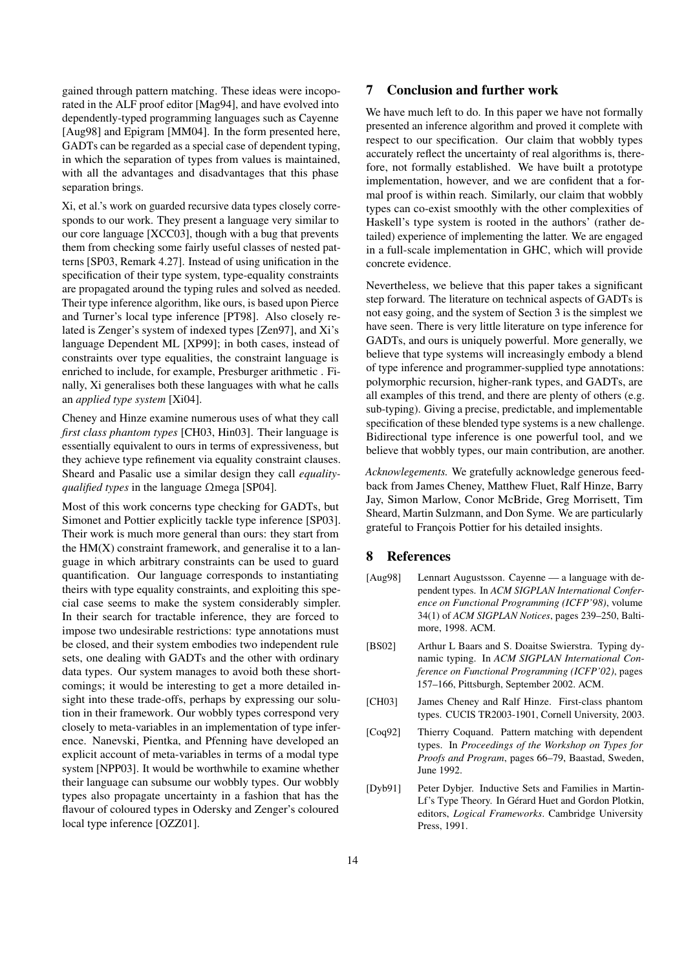gained through pattern matching. These ideas were incoporated in the ALF proof editor [Mag94], and have evolved into dependently-typed programming languages such as Cayenne [Aug98] and Epigram [MM04]. In the form presented here, GADTs can be regarded as a special case of dependent typing, in which the separation of types from values is maintained, with all the advantages and disadvantages that this phase separation brings.

Xi, et al.'s work on guarded recursive data types closely corresponds to our work. They present a language very similar to our core language [XCC03], though with a bug that prevents them from checking some fairly useful classes of nested patterns [SP03, Remark 4.27]. Instead of using unification in the specification of their type system, type-equality constraints are propagated around the typing rules and solved as needed. Their type inference algorithm, like ours, is based upon Pierce and Turner's local type inference [PT98]. Also closely related is Zenger's system of indexed types [Zen97], and Xi's language Dependent ML [XP99]; in both cases, instead of constraints over type equalities, the constraint language is enriched to include, for example, Presburger arithmetic . Finally, Xi generalises both these languages with what he calls an *applied type system* [Xi04].

Cheney and Hinze examine numerous uses of what they call *first class phantom types* [CH03, Hin03]. Their language is essentially equivalent to ours in terms of expressiveness, but they achieve type refinement via equality constraint clauses. Sheard and Pasalic use a similar design they call *equalityqualified types* in the language Ωmega [SP04].

Most of this work concerns type checking for GADTs, but Simonet and Pottier explicitly tackle type inference [SP03]. Their work is much more general than ours: they start from the  $HM(X)$  constraint framework, and generalise it to a language in which arbitrary constraints can be used to guard quantification. Our language corresponds to instantiating theirs with type equality constraints, and exploiting this special case seems to make the system considerably simpler. In their search for tractable inference, they are forced to impose two undesirable restrictions: type annotations must be closed, and their system embodies two independent rule sets, one dealing with GADTs and the other with ordinary data types. Our system manages to avoid both these shortcomings; it would be interesting to get a more detailed insight into these trade-offs, perhaps by expressing our solution in their framework. Our wobbly types correspond very closely to meta-variables in an implementation of type inference. Nanevski, Pientka, and Pfenning have developed an explicit account of meta-variables in terms of a modal type system [NPP03]. It would be worthwhile to examine whether their language can subsume our wobbly types. Our wobbly types also propagate uncertainty in a fashion that has the flavour of coloured types in Odersky and Zenger's coloured local type inference [OZZ01].

# 7 Conclusion and further work

We have much left to do. In this paper we have not formally presented an inference algorithm and proved it complete with respect to our specification. Our claim that wobbly types accurately reflect the uncertainty of real algorithms is, therefore, not formally established. We have built a prototype implementation, however, and we are confident that a formal proof is within reach. Similarly, our claim that wobbly types can co-exist smoothly with the other complexities of Haskell's type system is rooted in the authors' (rather detailed) experience of implementing the latter. We are engaged in a full-scale implementation in GHC, which will provide concrete evidence.

Nevertheless, we believe that this paper takes a significant step forward. The literature on technical aspects of GADTs is not easy going, and the system of Section 3 is the simplest we have seen. There is very little literature on type inference for GADTs, and ours is uniquely powerful. More generally, we believe that type systems will increasingly embody a blend of type inference and programmer-supplied type annotations: polymorphic recursion, higher-rank types, and GADTs, are all examples of this trend, and there are plenty of others (e.g. sub-typing). Giving a precise, predictable, and implementable specification of these blended type systems is a new challenge. Bidirectional type inference is one powerful tool, and we believe that wobbly types, our main contribution, are another.

*Acknowlegements.* We gratefully acknowledge generous feedback from James Cheney, Matthew Fluet, Ralf Hinze, Barry Jay, Simon Marlow, Conor McBride, Greg Morrisett, Tim Sheard, Martin Sulzmann, and Don Syme. We are particularly grateful to François Pottier for his detailed insights.

#### 8 References

- [Aug98] Lennart Augustsson. Cayenne a language with dependent types. In *ACM SIGPLAN International Conference on Functional Programming (ICFP'98)*, volume 34(1) of *ACM SIGPLAN Notices*, pages 239–250, Baltimore, 1998. ACM.
- [BS02] Arthur L Baars and S. Doaitse Swierstra. Typing dynamic typing. In *ACM SIGPLAN International Conference on Functional Programming (ICFP'02)*, pages 157–166, Pittsburgh, September 2002. ACM.
- [CH03] James Cheney and Ralf Hinze. First-class phantom types. CUCIS TR2003-1901, Cornell University, 2003.
- [Coq92] Thierry Coquand. Pattern matching with dependent types. In *Proceedings of the Workshop on Types for Proofs and Program*, pages 66–79, Baastad, Sweden, June 1992.
- [Dyb91] Peter Dybjer. Inductive Sets and Families in Martin-Lf's Type Theory. In Gérard Huet and Gordon Plotkin, editors, *Logical Frameworks*. Cambridge University Press, 1991.